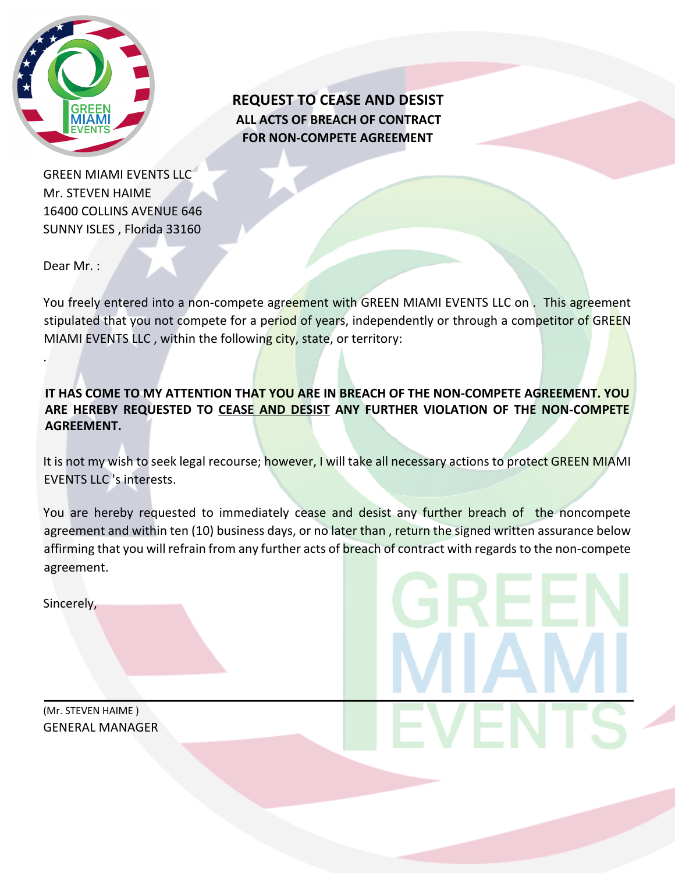

**REQUEST TO CEASE AND DESIST ALL ACTS OF BREACH OF CONTRACT FOR NON-COMPETE AGREEMENT**

GREEN MIAMI EVENTS LLC Mr. STEVEN HAIME 16400 COLLINS AVENUE 646 SUNNY ISLES , Florida 33160

Dear Mr. :

.

You freely entered into a non-compete agreement with GREEN MIAMI EVENTS LLC on. This agreement stipulated that you not compete for a period of years, independently or through a competitor of GREEN MIAMI EVENTS LLC, within the following city, state, or territory:

**IT HAS COME TO MY ATTENTION THAT YOU ARE IN BREACH OF THE NON-COMPETE AGREEMENT. YOU ARE HEREBY REQUESTED TO CEASE AND DESIST ANY FURTHER VIOLATION OF THE NON-COMPETE AGREEMENT.**

It is not my wish to seek legal recourse; however, I will take all necessary actions to protect GREEN MIAMI EVENTS LLC 's interests.

You are hereby requested to immediately cease and desist any further breach of the noncompete agreement and within ten (10) business days, or no later than , return the signed written assurance below affirming that you will refrain from any further acts of breach of contract with regards to the non-compete agreement.

Sincerely,

(Mr. STEVEN HAIME ) GENERAL MANAGER